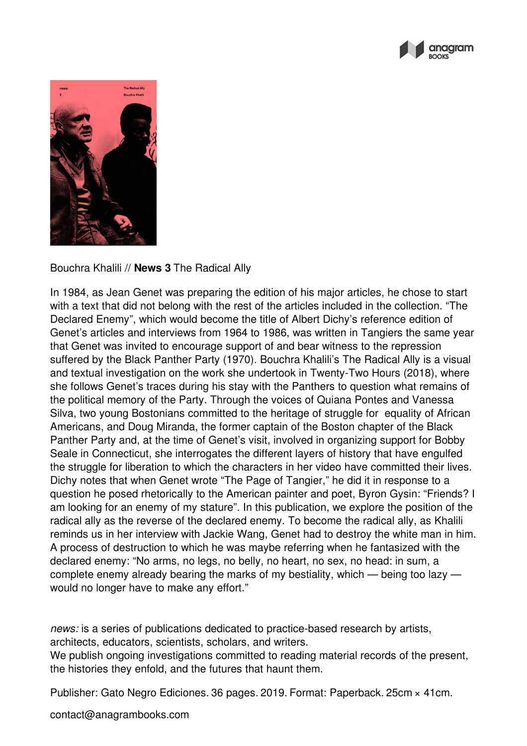



Bouchra Khalili // **News 3** The Radical Ally

In 1984, as Jean Genet was preparing the edition of his major articles, he chose to start with a text that did not belong with the rest of the articles included in the collection. "The Declared Enemy", which would become the title of Albert Dichy's reference edition of Genet's articles and interviews from 1964 to 1986, was written in Tangiers the same year that Genet was invited to encourage support of and bear witness to the repression suffered by the Black Panther Party (1970). Bouchra Khalili's The Radical Ally is a visual and textual investigation on the work she undertook in Twenty-Two Hours (2018), where she follows Genet's traces during his stay with the Panthers to question what remains of the political memory of the Party. Through the voices of Quiana Pontes and Vanessa Silva, two young Bostonians committed to the heritage of struggle for equality of African Americans, and Doug Miranda, the former captain of the Boston chapter of the Black Panther Party and, at the time of Genet's visit, involved in organizing support for Bobby Seale in Connecticut, she interrogates the different layers of history that have engulfed the struggle for liberation to which the characters in her video have committed their lives. Dichy notes that when Genet wrote "The Page of Tangier," he did it in response to a question he posed rhetorically to the American painter and poet, Byron Gysin: "Friends? I am looking for an enemy of my stature". In this publication, we explore the position of the radical ally as the reverse of the declared enemy. To become the radical ally, as Khalili reminds us in her interview with Jackie Wang, Genet had to destroy the white man in him. A process of destruction to which he was maybe referring when he fantasized with the declared enemy: "No arms, no legs, no belly, no heart, no sex, no head: in sum, a complete enemy already bearing the marks of my bestiality, which — being too lazy would no longer have to make any effort."

*news:* is a series of publications dedicated to practice-based research by artists, architects, educators, scientists, scholars, and writers.

We publish ongoing investigations committed to reading material records of the present, the histories they enfold, and the futures that haunt them.

Publisher: Gato Negro Ediciones. 36 pages. 2019. Format: Paperback. 25cm × 41cm.